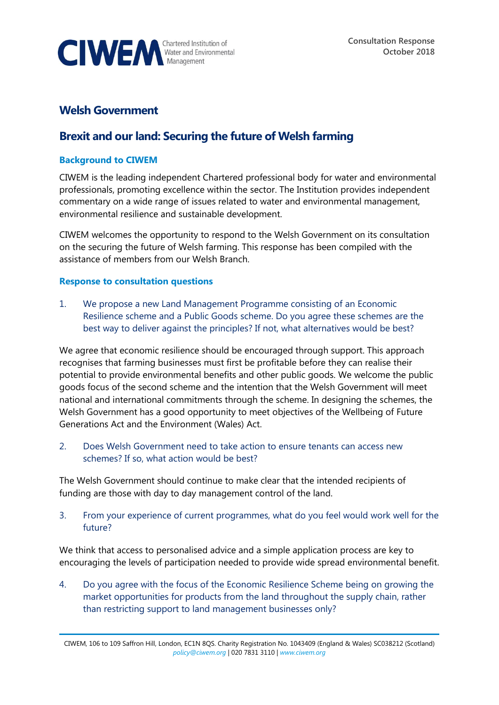

# **Welsh Government**

# **Brexit and our land: Securing the future of Welsh farming**

#### **Background to CIWEM**

CIWEM is the leading independent Chartered professional body for water and environmental professionals, promoting excellence within the sector. The Institution provides independent commentary on a wide range of issues related to water and environmental management, environmental resilience and sustainable development.

CIWEM welcomes the opportunity to respond to the Welsh Government on its consultation on the securing the future of Welsh farming. This response has been compiled with the assistance of members from our Welsh Branch.

#### **Response to consultation questions**

1. We propose a new Land Management Programme consisting of an Economic Resilience scheme and a Public Goods scheme. Do you agree these schemes are the best way to deliver against the principles? If not, what alternatives would be best?

We agree that economic resilience should be encouraged through support. This approach recognises that farming businesses must first be profitable before they can realise their potential to provide environmental benefits and other public goods. We welcome the public goods focus of the second scheme and the intention that the Welsh Government will meet national and international commitments through the scheme. In designing the schemes, the Welsh Government has a good opportunity to meet objectives of the Wellbeing of Future Generations Act and the Environment (Wales) Act.

2. Does Welsh Government need to take action to ensure tenants can access new schemes? If so, what action would be best?

The Welsh Government should continue to make clear that the intended recipients of funding are those with day to day management control of the land.

3. From your experience of current programmes, what do you feel would work well for the future?

We think that access to personalised advice and a simple application process are key to encouraging the levels of participation needed to provide wide spread environmental benefit.

4. Do you agree with the focus of the Economic Resilience Scheme being on growing the market opportunities for products from the land throughout the supply chain, rather than restricting support to land management businesses only?

CIWEM, 106 to 109 Saffron Hill, London, EC1N 8QS. Charity Registration No. 1043409 (England & Wales) SC038212 (Scotland) *[policy@ciwem.org](mailto:policy@ciwem.org)* | 020 7831 3110 | *[www.ciwem.org](http://www.ciwem.org/)*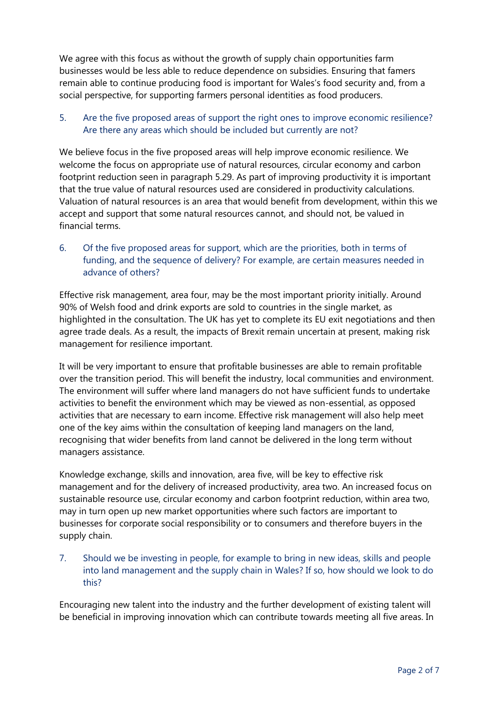We agree with this focus as without the growth of supply chain opportunities farm businesses would be less able to reduce dependence on subsidies. Ensuring that famers remain able to continue producing food is important for Wales's food security and, from a social perspective, for supporting farmers personal identities as food producers.

## 5. Are the five proposed areas of support the right ones to improve economic resilience? Are there any areas which should be included but currently are not?

We believe focus in the five proposed areas will help improve economic resilience. We welcome the focus on appropriate use of natural resources, circular economy and carbon footprint reduction seen in paragraph 5.29. As part of improving productivity it is important that the true value of natural resources used are considered in productivity calculations. Valuation of natural resources is an area that would benefit from development, within this we accept and support that some natural resources cannot, and should not, be valued in financial terms.

6. Of the five proposed areas for support, which are the priorities, both in terms of funding, and the sequence of delivery? For example, are certain measures needed in advance of others?

Effective risk management, area four, may be the most important priority initially. Around 90% of Welsh food and drink exports are sold to countries in the single market, as highlighted in the consultation. The UK has yet to complete its EU exit negotiations and then agree trade deals. As a result, the impacts of Brexit remain uncertain at present, making risk management for resilience important.

It will be very important to ensure that profitable businesses are able to remain profitable over the transition period. This will benefit the industry, local communities and environment. The environment will suffer where land managers do not have sufficient funds to undertake activities to benefit the environment which may be viewed as non-essential, as opposed activities that are necessary to earn income. Effective risk management will also help meet one of the key aims within the consultation of keeping land managers on the land, recognising that wider benefits from land cannot be delivered in the long term without managers assistance.

Knowledge exchange, skills and innovation, area five, will be key to effective risk management and for the delivery of increased productivity, area two. An increased focus on sustainable resource use, circular economy and carbon footprint reduction, within area two, may in turn open up new market opportunities where such factors are important to businesses for corporate social responsibility or to consumers and therefore buyers in the supply chain.

7. Should we be investing in people, for example to bring in new ideas, skills and people into land management and the supply chain in Wales? If so, how should we look to do this?

Encouraging new talent into the industry and the further development of existing talent will be beneficial in improving innovation which can contribute towards meeting all five areas. In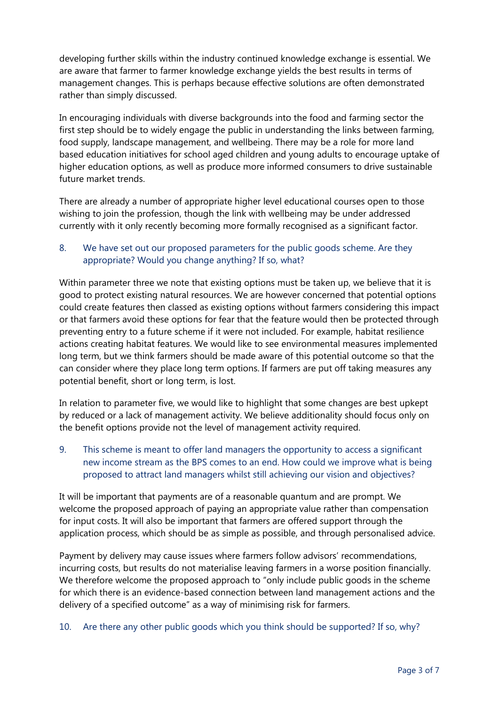developing further skills within the industry continued knowledge exchange is essential. We are aware that farmer to farmer knowledge exchange yields the best results in terms of management changes. This is perhaps because effective solutions are often demonstrated rather than simply discussed.

In encouraging individuals with diverse backgrounds into the food and farming sector the first step should be to widely engage the public in understanding the links between farming, food supply, landscape management, and wellbeing. There may be a role for more land based education initiatives for school aged children and young adults to encourage uptake of higher education options, as well as produce more informed consumers to drive sustainable future market trends.

There are already a number of appropriate higher level educational courses open to those wishing to join the profession, though the link with wellbeing may be under addressed currently with it only recently becoming more formally recognised as a significant factor.

## 8. We have set out our proposed parameters for the public goods scheme. Are they appropriate? Would you change anything? If so, what?

Within parameter three we note that existing options must be taken up, we believe that it is good to protect existing natural resources. We are however concerned that potential options could create features then classed as existing options without farmers considering this impact or that farmers avoid these options for fear that the feature would then be protected through preventing entry to a future scheme if it were not included. For example, habitat resilience actions creating habitat features. We would like to see environmental measures implemented long term, but we think farmers should be made aware of this potential outcome so that the can consider where they place long term options. If farmers are put off taking measures any potential benefit, short or long term, is lost.

In relation to parameter five, we would like to highlight that some changes are best upkept by reduced or a lack of management activity. We believe additionality should focus only on the benefit options provide not the level of management activity required.

9. This scheme is meant to offer land managers the opportunity to access a significant new income stream as the BPS comes to an end. How could we improve what is being proposed to attract land managers whilst still achieving our vision and objectives?

It will be important that payments are of a reasonable quantum and are prompt. We welcome the proposed approach of paying an appropriate value rather than compensation for input costs. It will also be important that farmers are offered support through the application process, which should be as simple as possible, and through personalised advice.

Payment by delivery may cause issues where farmers follow advisors' recommendations, incurring costs, but results do not materialise leaving farmers in a worse position financially. We therefore welcome the proposed approach to "only include public goods in the scheme for which there is an evidence-based connection between land management actions and the delivery of a specified outcome" as a way of minimising risk for farmers.

### 10. Are there any other public goods which you think should be supported? If so, why?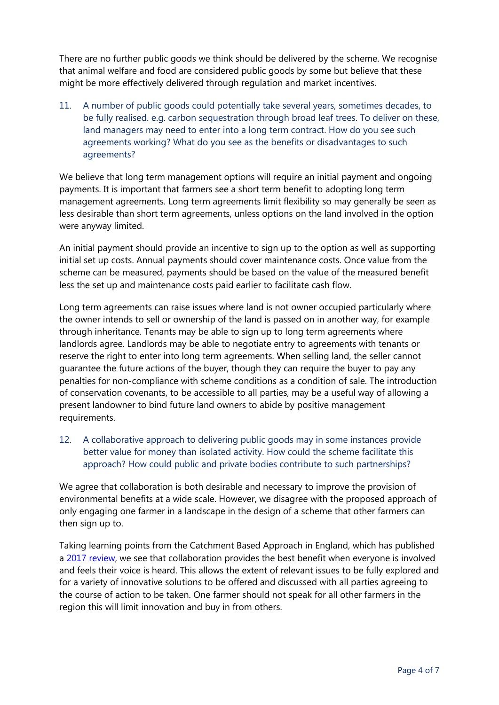There are no further public goods we think should be delivered by the scheme. We recognise that animal welfare and food are considered public goods by some but believe that these might be more effectively delivered through regulation and market incentives.

11. A number of public goods could potentially take several years, sometimes decades, to be fully realised. e.g. carbon sequestration through broad leaf trees. To deliver on these, land managers may need to enter into a long term contract. How do you see such agreements working? What do you see as the benefits or disadvantages to such agreements?

We believe that long term management options will require an initial payment and ongoing payments. It is important that farmers see a short term benefit to adopting long term management agreements. Long term agreements limit flexibility so may generally be seen as less desirable than short term agreements, unless options on the land involved in the option were anyway limited.

An initial payment should provide an incentive to sign up to the option as well as supporting initial set up costs. Annual payments should cover maintenance costs. Once value from the scheme can be measured, payments should be based on the value of the measured benefit less the set up and maintenance costs paid earlier to facilitate cash flow.

Long term agreements can raise issues where land is not owner occupied particularly where the owner intends to sell or ownership of the land is passed on in another way, for example through inheritance. Tenants may be able to sign up to long term agreements where landlords agree. Landlords may be able to negotiate entry to agreements with tenants or reserve the right to enter into long term agreements. When selling land, the seller cannot guarantee the future actions of the buyer, though they can require the buyer to pay any penalties for non-compliance with scheme conditions as a condition of sale. The introduction of conservation covenants, to be accessible to all parties, may be a useful way of allowing a present landowner to bind future land owners to abide by positive management requirements.

12. A collaborative approach to delivering public goods may in some instances provide better value for money than isolated activity. How could the scheme facilitate this approach? How could public and private bodies contribute to such partnerships?

We agree that collaboration is both desirable and necessary to improve the provision of environmental benefits at a wide scale. However, we disagree with the proposed approach of only engaging one farmer in a landscape in the design of a scheme that other farmers can then sign up to.

Taking learning points from the Catchment Based Approach in England, which has published a [2017 review,](https://catchmentbasedapproach.org/images/2017/CaBA-Monitoring-and-Evaluation-Full--Report-2017.pdf) we see that collaboration provides the best benefit when everyone is involved and feels their voice is heard. This allows the extent of relevant issues to be fully explored and for a variety of innovative solutions to be offered and discussed with all parties agreeing to the course of action to be taken. One farmer should not speak for all other farmers in the region this will limit innovation and buy in from others.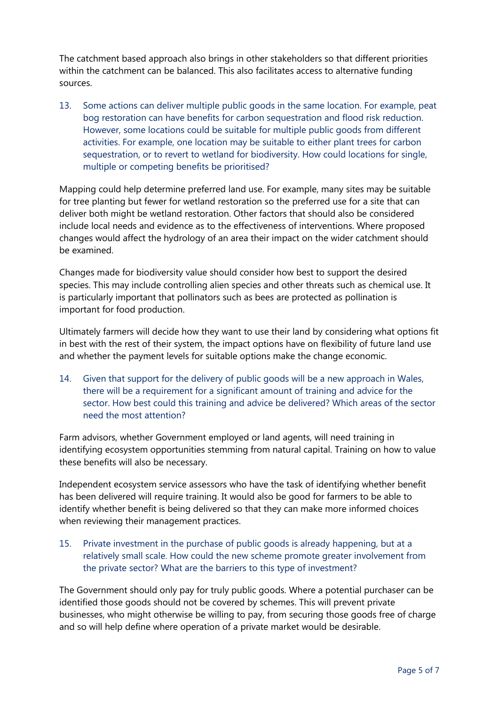The catchment based approach also brings in other stakeholders so that different priorities within the catchment can be balanced. This also facilitates access to alternative funding sources.

13. Some actions can deliver multiple public goods in the same location. For example, peat bog restoration can have benefits for carbon sequestration and flood risk reduction. However, some locations could be suitable for multiple public goods from different activities. For example, one location may be suitable to either plant trees for carbon sequestration, or to revert to wetland for biodiversity. How could locations for single, multiple or competing benefits be prioritised?

Mapping could help determine preferred land use. For example, many sites may be suitable for tree planting but fewer for wetland restoration so the preferred use for a site that can deliver both might be wetland restoration. Other factors that should also be considered include local needs and evidence as to the effectiveness of interventions. Where proposed changes would affect the hydrology of an area their impact on the wider catchment should be examined.

Changes made for biodiversity value should consider how best to support the desired species. This may include controlling alien species and other threats such as chemical use. It is particularly important that pollinators such as bees are protected as pollination is important for food production.

Ultimately farmers will decide how they want to use their land by considering what options fit in best with the rest of their system, the impact options have on flexibility of future land use and whether the payment levels for suitable options make the change economic.

14. Given that support for the delivery of public goods will be a new approach in Wales, there will be a requirement for a significant amount of training and advice for the sector. How best could this training and advice be delivered? Which areas of the sector need the most attention?

Farm advisors, whether Government employed or land agents, will need training in identifying ecosystem opportunities stemming from natural capital. Training on how to value these benefits will also be necessary.

Independent ecosystem service assessors who have the task of identifying whether benefit has been delivered will require training. It would also be good for farmers to be able to identify whether benefit is being delivered so that they can make more informed choices when reviewing their management practices.

15. Private investment in the purchase of public goods is already happening, but at a relatively small scale. How could the new scheme promote greater involvement from the private sector? What are the barriers to this type of investment?

The Government should only pay for truly public goods. Where a potential purchaser can be identified those goods should not be covered by schemes. This will prevent private businesses, who might otherwise be willing to pay, from securing those goods free of charge and so will help define where operation of a private market would be desirable.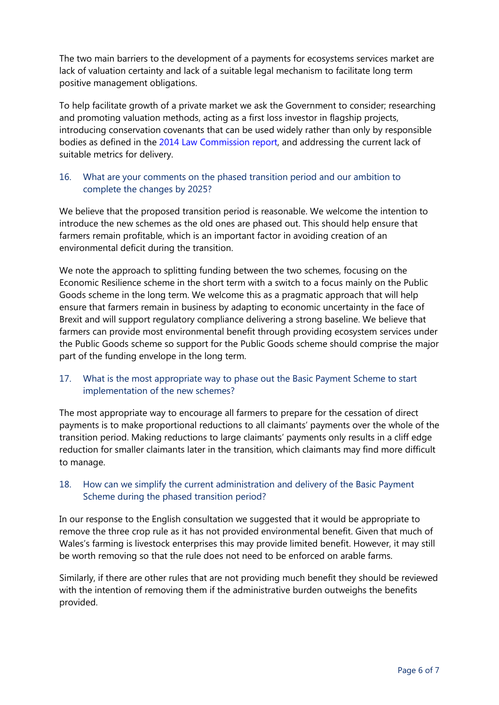The two main barriers to the development of a payments for ecosystems services market are lack of valuation certainty and lack of a suitable legal mechanism to facilitate long term positive management obligations.

To help facilitate growth of a private market we ask the Government to consider; researching and promoting valuation methods, acting as a first loss investor in flagship projects, introducing conservation covenants that can be used widely rather than only by responsible bodies as defined in the [2014 Law Commission report,](https://www.lawcom.gov.uk/project/conservation-covenants/) and addressing the current lack of suitable metrics for delivery.

### 16. What are your comments on the phased transition period and our ambition to complete the changes by 2025?

We believe that the proposed transition period is reasonable. We welcome the intention to introduce the new schemes as the old ones are phased out. This should help ensure that farmers remain profitable, which is an important factor in avoiding creation of an environmental deficit during the transition.

We note the approach to splitting funding between the two schemes, focusing on the Economic Resilience scheme in the short term with a switch to a focus mainly on the Public Goods scheme in the long term. We welcome this as a pragmatic approach that will help ensure that farmers remain in business by adapting to economic uncertainty in the face of Brexit and will support regulatory compliance delivering a strong baseline. We believe that farmers can provide most environmental benefit through providing ecosystem services under the Public Goods scheme so support for the Public Goods scheme should comprise the major part of the funding envelope in the long term.

### 17. What is the most appropriate way to phase out the Basic Payment Scheme to start implementation of the new schemes?

The most appropriate way to encourage all farmers to prepare for the cessation of direct payments is to make proportional reductions to all claimants' payments over the whole of the transition period. Making reductions to large claimants' payments only results in a cliff edge reduction for smaller claimants later in the transition, which claimants may find more difficult to manage.

### 18. How can we simplify the current administration and delivery of the Basic Payment Scheme during the phased transition period?

In our response to the English consultation we suggested that it would be appropriate to remove the three crop rule as it has not provided environmental benefit. Given that much of Wales's farming is livestock enterprises this may provide limited benefit. However, it may still be worth removing so that the rule does not need to be enforced on arable farms.

Similarly, if there are other rules that are not providing much benefit they should be reviewed with the intention of removing them if the administrative burden outweighs the benefits provided.